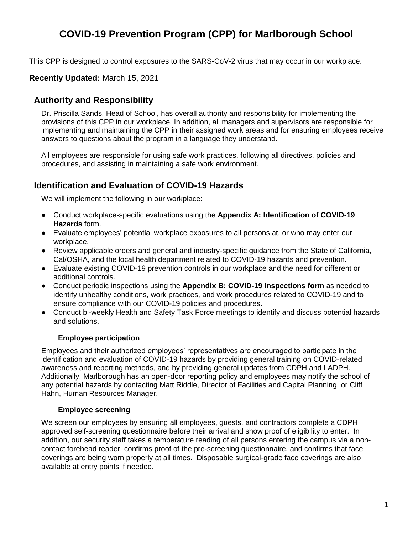# **COVID-19 Prevention Program (CPP) for Marlborough School**

This CPP is designed to control exposures to the SARS-CoV-2 virus that may occur in our workplace.

#### **Recently Updated:** March 15, 2021

### **Authority and Responsibility**

Dr. Priscilla Sands, Head of School, has overall authority and responsibility for implementing the provisions of this CPP in our workplace. In addition, all managers and supervisors are responsible for implementing and maintaining the CPP in their assigned work areas and for ensuring employees receive answers to questions about the program in a language they understand.

All employees are responsible for using safe work practices, following all directives, policies and procedures, and assisting in maintaining a safe work environment.

#### **Identification and Evaluation of COVID-19 Hazards**

We will implement the following in our workplace:

- Conduct workplace-specific evaluations using the **Appendix A: Identification of COVID-19 Hazards** form.
- Evaluate employees' potential workplace exposures to all persons at, or who may enter our workplace.
- Review applicable orders and general and industry-specific guidance from the State of California, Cal/OSHA, and the local health department related to COVID-19 hazards and prevention.
- Evaluate existing COVID-19 prevention controls in our workplace and the need for different or additional controls.
- Conduct periodic inspections using the **Appendix B: COVID-19 Inspections form** as needed to identify unhealthy conditions, work practices, and work procedures related to COVID-19 and to ensure compliance with our COVID-19 policies and procedures.
- Conduct bi-weekly Health and Safety Task Force meetings to identify and discuss potential hazards and solutions.

#### **Employee participation**

Employees and their authorized employees' representatives are encouraged to participate in the identification and evaluation of COVID-19 hazards by providing general training on COVID-related awareness and reporting methods, and by providing general updates from CDPH and LADPH. Additionally, Marlborough has an open-door reporting policy and employees may notify the school of any potential hazards by contacting Matt Riddle, Director of Facilities and Capital Planning, or Cliff Hahn, Human Resources Manager.

#### **Employee screening**

We screen our employees by ensuring all employees, guests, and contractors complete a CDPH approved self-screening questionnaire before their arrival and show proof of eligibility to enter. In addition, our security staff takes a temperature reading of all persons entering the campus via a noncontact forehead reader, confirms proof of the pre-screening questionnaire, and confirms that face coverings are being worn properly at all times. Disposable surgical-grade face coverings are also available at entry points if needed.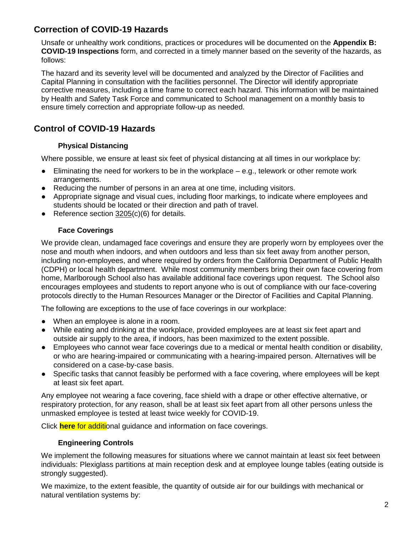### **Correction of COVID-19 Hazards**

Unsafe or unhealthy work conditions, practices or procedures will be documented on the **Appendix B: COVID-19 Inspections** form, and corrected in a timely manner based on the severity of the hazards, as follows:

The hazard and its severity level will be documented and analyzed by the Director of Facilities and Capital Planning in consultation with the facilities personnel. The Director will identify appropriate corrective measures, including a time frame to correct each hazard. This information will be maintained by Health and Safety Task Force and communicated to School management on a monthly basis to ensure timely correction and appropriate follow-up as needed.

## **Control of COVID-19 Hazards**

#### **Physical Distancing**

Where possible, we ensure at least six feet of physical distancing at all times in our workplace by:

- $\bullet$  Eliminating the need for workers to be in the workplace  $-e.g.,$  telework or other remote work arrangements.
- Reducing the number of persons in an area at one time, including visitors.
- Appropriate signage and visual cues, including floor markings, to indicate where employees and students should be located or their direction and path of travel.
- Reference section [3205\(](https://www.dir.ca.gov/title8/3205.html)c)(6) for details.

#### **Face Coverings**

We provide clean, undamaged face coverings and ensure they are properly worn by employees over the nose and mouth when indoors, and when outdoors and less than six feet away from another person, including non-employees, and where required by orders from the California Department of Public Health (CDPH) or local health department. While most community members bring their own face covering from home, Marlborough School also has available additional face coverings upon request. The School also encourages employees and students to report anyone who is out of compliance with our face-covering protocols directly to the Human Resources Manager or the Director of Facilities and Capital Planning.

The following are exceptions to the use of face coverings in our workplace:

- When an employee is alone in a room.
- While eating and drinking at the workplace, provided employees are at least six feet apart and outside air supply to the area, if indoors, has been maximized to the extent possible.
- Employees who cannot wear face coverings due to a medical or mental health condition or disability, or who are hearing-impaired or communicating with a hearing-impaired person. Alternatives will be considered on a case-by-case basis.
- Specific tasks that cannot feasibly be performed with a face covering, where employees will be kept at least six feet apart.

Any employee not wearing a face covering, face shield with a drape or other effective alternative, or respiratory protection, for any reason, shall be at least six feet apart from all other persons unless the unmasked employee is tested at least twice weekly for COVID-19.

Click **[here](https://resources.finalsite.net/images/v1615865282/marlborough/e017t63s1yiazs74vlmu/Link-COVID19AdditionalGuidanceandInformationonFaceCoverings.pdf)** for additional guidance and information on face coverings.

#### **Engineering Controls**

We implement the following measures for situations where we cannot maintain at least six feet between individuals: Plexiglass partitions at main reception desk and at employee lounge tables (eating outside is strongly suggested).

We maximize, to the extent feasible, the quantity of outside air for our buildings with mechanical or natural ventilation systems by: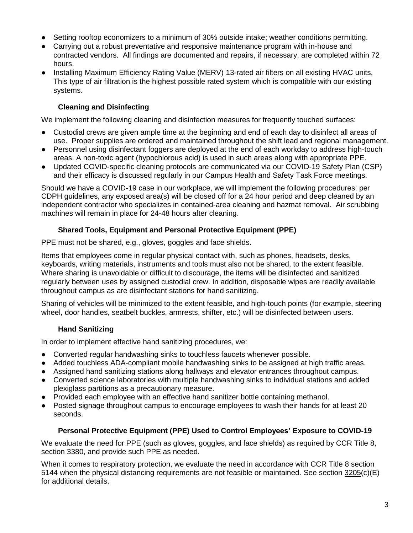- Setting rooftop economizers to a minimum of 30% outside intake; weather conditions permitting.
- Carrying out a robust preventative and responsive maintenance program with in-house and contracted vendors. All findings are documented and repairs, if necessary, are completed within 72 hours.
- Installing Maximum Efficiency Rating Value (MERV) 13-rated air filters on all existing HVAC units. This type of air filtration is the highest possible rated system which is compatible with our existing systems.

#### **Cleaning and Disinfecting**

We implement the following cleaning and disinfection measures for frequently touched surfaces:

- Custodial crews are given ample time at the beginning and end of each day to disinfect all areas of use. Proper supplies are ordered and maintained throughout the shift lead and regional management.
- Personnel using disinfectant foggers are deployed at the end of each workday to address high-touch areas. A non-toxic agent (hypochlorous acid) is used in such areas along with appropriate PPE.
- Updated COVID-specific cleaning protocols are communicated via our COVID-19 Safety Plan (CSP) and their efficacy is discussed regularly in our Campus Health and Safety Task Force meetings.

Should we have a COVID-19 case in our workplace, we will implement the following procedures: per CDPH guidelines, any exposed area(s) will be closed off for a 24 hour period and deep cleaned by an independent contractor who specializes in contained-area cleaning and hazmat removal. Air scrubbing machines will remain in place for 24-48 hours after cleaning.

#### **Shared Tools, Equipment and Personal Protective Equipment (PPE)**

PPE must not be shared, e.g., gloves, goggles and face shields.

Items that employees come in regular physical contact with, such as phones, headsets, desks, keyboards, writing materials, instruments and tools must also not be shared, to the extent feasible. Where sharing is unavoidable or difficult to discourage, the items will be disinfected and sanitized regularly between uses by assigned custodial crew. In addition, disposable wipes are readily available throughout campus as are disinfectant stations for hand sanitizing.

Sharing of vehicles will be minimized to the extent feasible, and high-touch points (for example, steering wheel, door handles, seatbelt buckles, armrests, shifter, etc.) will be disinfected between users.

#### **Hand Sanitizing**

In order to implement effective hand sanitizing procedures, we:

- Converted regular handwashing sinks to touchless faucets whenever possible.
- Added touchless ADA-compliant mobile handwashing sinks to be assigned at high traffic areas.
- Assigned hand sanitizing stations along hallways and elevator entrances throughout campus.
- Converted science laboratories with multiple handwashing sinks to individual stations and added plexiglass partitions as a precautionary measure.
- Provided each employee with an effective hand sanitizer bottle containing methanol.
- Posted signage throughout campus to encourage employees to wash their hands for at least 20 seconds.

#### **Personal Protective Equipment (PPE) Used to Control Employees' Exposure to COVID-19**

We evaluate the need for PPE (such as gloves, goggles, and face shields) as required by CCR Title 8, section 3380, and provide such PPE as needed.

When it comes to respiratory protection, we evaluate the need in accordance with CCR Title 8 section 5144 when the physical distancing requirements are not feasible or maintained. See section [3205\(](https://www.dir.ca.gov/title8/3205.html)c)(E) for additional details.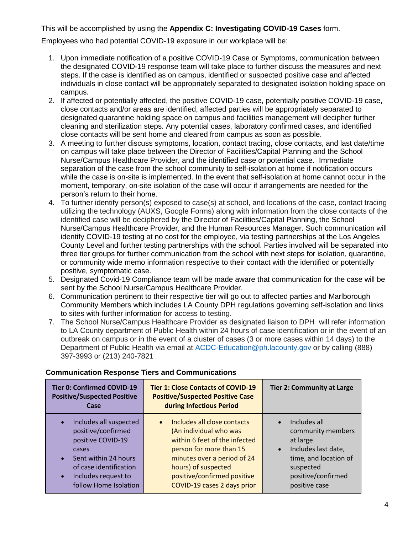#### This will be accomplished by using the **Appendix C: Investigating COVID-19 Cases** form.

Employees who had potential COVID-19 exposure in our workplace will be:

- 1. Upon immediate notification of a positive COVID-19 Case or Symptoms, communication between the designated COVID-19 response team will take place to further discuss the measures and next steps. If the case is identified as on campus, identified or suspected positive case and affected individuals in close contact will be appropriately separated to designated isolation holding space on campus.
- 2. If affected or potentially affected, the positive COVID-19 case, potentially positive COVID-19 case, close contacts and/or areas are identified, affected parties will be appropriately separated to designated quarantine holding space on campus and facilities management will decipher further cleaning and sterilization steps. Any potential cases, laboratory confirmed cases, and identified close contacts will be sent home and cleared from campus as soon as possible.
- 3. A meeting to further discuss symptoms, location, contact tracing, close contacts, and last date/time on campus will take place between the Director of Facilities/Capital Planning and the School Nurse/Campus Healthcare Provider, and the identified case or potential case. Immediate separation of the case from the school community to self-isolation at home if notification occurs while the case is on-site is implemented. In the event that self-isolation at home cannot occur in the moment, temporary, on-site isolation of the case will occur if arrangements are needed for the person's return to their home.
- 4. To further identify person(s) exposed to case(s) at school, and locations of the case, contact tracing utilizing the technology (AUXS, Google Forms) along with information from the close contacts of the identified case will be deciphered by the Director of Facilities/Capital Planning, the School Nurse/Campus Healthcare Provider, and the Human Resources Manager. Such communication will identify COVID-19 testing at no cost for the employee, via testing partnerships at the Los Angeles County Level and further testing partnerships with the school. Parties involved will be separated into three tier groups for further communication from the school with next steps for isolation, quarantine, or community wide memo information respective to their contact with the identified or potentially positive, symptomatic case.
- 5. Designated Covid-19 Compliance team will be made aware that communication for the case will be sent by the School Nurse/Campus Healthcare Provider.
- 6. Communication pertinent to their respective tier will go out to affected parties and Marlborough Community Members which includes LA County DPH regulations governing self-isolation and links to sites with further information for access to testing.
- 7. The School Nurse/Campus Healthcare Provider as designated liaison to DPH will refer information to LA County department of Public Health within 24 hours of case identification or in the event of an outbreak on campus or in the event of a cluster of cases (3 or more cases within 14 days) to the Department of Public Health via email at ACDC-Education@ph.lacounty.gov or by calling (888) 397-3993 or (213) 240-7821

| <b>Tier 0: Confirmed COVID-19</b><br><b>Positive/Suspected Positive</b><br>Case                                                                                              | <b>Tier 1: Close Contacts of COVID-19</b><br><b>Positive/Suspected Positive Case</b><br>during Infectious Period                                                                                                                                   | <b>Tier 2: Community at Large</b>                                                                                                                              |
|------------------------------------------------------------------------------------------------------------------------------------------------------------------------------|----------------------------------------------------------------------------------------------------------------------------------------------------------------------------------------------------------------------------------------------------|----------------------------------------------------------------------------------------------------------------------------------------------------------------|
| Includes all suspected<br>positive/confirmed<br>positive COVID-19<br>cases<br>Sent within 24 hours<br>of case identification<br>Includes request to<br>follow Home Isolation | Includes all close contacts<br>$\bullet$<br>(An individual who was<br>within 6 feet of the infected<br>person for more than 15<br>minutes over a period of 24<br>hours) of suspected<br>positive/confirmed positive<br>COVID-19 cases 2 days prior | Includes all<br>community members<br>at large<br>Includes last date,<br>$\bullet$<br>time, and location of<br>suspected<br>positive/confirmed<br>positive case |

#### **Communication Response Tiers and Communications**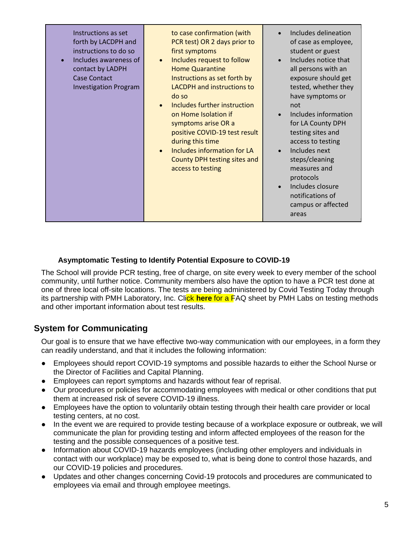| Instructions as set<br>forth by LACDPH and<br>instructions to do so<br>Includes awareness of<br>contact by LADPH<br>Case Contact<br><b>Investigation Program</b> | to case confirmation (with<br>PCR test) OR 2 days prior to<br>first symptoms<br>Includes request to follow<br><b>Home Quarantine</b><br>Instructions as set forth by<br><b>LACDPH</b> and instructions to<br>do so<br>Includes further instruction<br>on Home Isolation if<br>symptoms arise OR a<br>positive COVID-19 test result<br>during this time<br>Includes information for LA<br>County DPH testing sites and<br>access to testing | Includes delineation<br>of case as employee,<br>student or guest<br>Includes notice that<br>all persons with an<br>exposure should get<br>tested, whether they<br>have symptoms or<br>not<br>Includes information<br>for LA County DPH<br>testing sites and<br>access to testing<br>Includes next<br>steps/cleaning<br>measures and<br>protocols<br>Includes closure<br>notifications of<br>campus or affected<br>areas |
|------------------------------------------------------------------------------------------------------------------------------------------------------------------|--------------------------------------------------------------------------------------------------------------------------------------------------------------------------------------------------------------------------------------------------------------------------------------------------------------------------------------------------------------------------------------------------------------------------------------------|-------------------------------------------------------------------------------------------------------------------------------------------------------------------------------------------------------------------------------------------------------------------------------------------------------------------------------------------------------------------------------------------------------------------------|
|------------------------------------------------------------------------------------------------------------------------------------------------------------------|--------------------------------------------------------------------------------------------------------------------------------------------------------------------------------------------------------------------------------------------------------------------------------------------------------------------------------------------------------------------------------------------------------------------------------------------|-------------------------------------------------------------------------------------------------------------------------------------------------------------------------------------------------------------------------------------------------------------------------------------------------------------------------------------------------------------------------------------------------------------------------|

#### **Asymptomatic Testing to Identify Potential Exposure to COVID-19**

The School will provide PCR testing, free of charge, on site every week to every member of the school community, until further notice. Community members also have the option to have a PCR test done at one of three local off-site locations. The tests are being administered by Covid Testing Today through its partnership with PMH Laboratory, Inc. Click **[here](https://resources.finalsite.net/images/v1615865251/marlborough/pk0zxcd2i6hnxajfvkre/Link-COVID19TestingFactSheet-PMHLabs.pdf)** for a FAQ sheet by PMH Labs on testing methods and other important information about test results.

### **System for Communicating**

Our goal is to ensure that we have effective two-way communication with our employees, in a form they can readily understand, and that it includes the following information:

- Employees should report COVID-19 symptoms and possible hazards to either the School Nurse or the Director of Facilities and Capital Planning.
- Employees can report symptoms and hazards without fear of reprisal.
- Our procedures or policies for accommodating employees with medical or other conditions that put them at increased risk of severe COVID-19 illness.
- Employees have the option to voluntarily obtain testing through their health care provider or local testing centers, at no cost.
- In the event we are required to provide testing because of a workplace exposure or outbreak, we will communicate the plan for providing testing and inform affected employees of the reason for the testing and the possible consequences of a positive test.
- Information about COVID-19 hazards employees (including other employers and individuals in contact with our workplace) may be exposed to, what is being done to control those hazards, and our COVID-19 policies and procedures.
- Updates and other changes concerning Covid-19 protocols and procedures are communicated to employees via email and through employee meetings.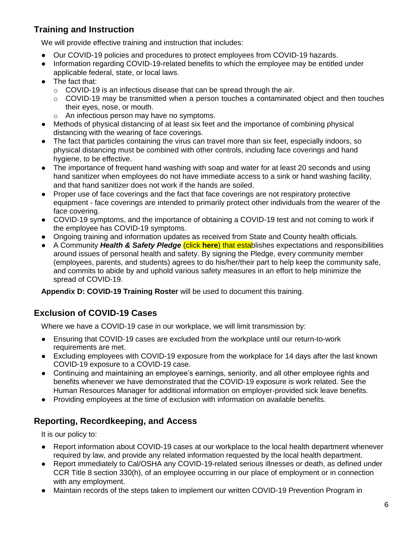## **Training and Instruction**

We will provide effective training and instruction that includes:

- Our COVID-19 policies and procedures to protect employees from COVID-19 hazards.
- Information regarding COVID-19-related benefits to which the employee may be entitled under applicable federal, state, or local laws.
- The fact that:
	- $\circ$  COVID-19 is an infectious disease that can be spread through the air.
	- $\circ$  COVID-19 may be transmitted when a person touches a contaminated object and then touches their eyes, nose, or mouth.
	- o An infectious person may have no symptoms.
- Methods of physical distancing of at least six feet and the importance of combining physical distancing with the wearing of face coverings.
- The fact that particles containing the virus can travel more than six feet, especially indoors, so physical distancing must be combined with other controls, including face coverings and hand hygiene, to be effective.
- The importance of frequent hand washing with soap and water for at least 20 seconds and using hand sanitizer when employees do not have immediate access to a sink or hand washing facility, and that hand sanitizer does not work if the hands are soiled.
- Proper use of face coverings and the fact that face coverings are not respiratory protective equipment - face coverings are intended to primarily protect other individuals from the wearer of the face covering.
- COVID-19 symptoms, and the importance of obtaining a COVID-19 test and not coming to work if the employee has COVID-19 symptoms.
- Ongoing training and information updates as received from State and County health officials.
- A Community *Health & Safety Pledge* (click **[here](https://resources.finalsite.net/images/v1615865221/marlborough/osdchoqg11mswzvyyoer/Link-COVID19HealthandSafetyPledge.pdf)**) that establishes expectations and responsibilities around issues of personal health and safety. By signing the Pledge, every community member (employees, parents, and students) agrees to do his/her/their part to help keep the community safe, and commits to abide by and uphold various safety measures in an effort to help minimize the spread of COVID-19.

**Appendix D: COVID-19 Training Roster** will be used to document this training.

# **Exclusion of COVID-19 Cases**

Where we have a COVID-19 case in our workplace, we will limit transmission by:

- Ensuring that COVID-19 cases are excluded from the workplace until our return-to-work requirements are met.
- Excluding employees with COVID-19 exposure from the workplace for 14 days after the last known COVID-19 exposure to a COVID-19 case.
- Continuing and maintaining an employee's earnings, seniority, and all other employee rights and benefits whenever we have demonstrated that the COVID-19 exposure is work related. See the Human Resources Manager for additional information on employer-provided sick leave benefits.
- Providing employees at the time of exclusion with information on available benefits.

# **Reporting, Recordkeeping, and Access**

It is our policy to:

- Report information about COVID-19 cases at our workplace to the local health department whenever required by law, and provide any related information requested by the local health department.
- Report immediately to Cal/OSHA any COVID-19-related serious illnesses or death, as defined under CCR Title 8 section 330(h), of an employee occurring in our place of employment or in connection with any employment.
- Maintain records of the steps taken to implement our written COVID-19 Prevention Program in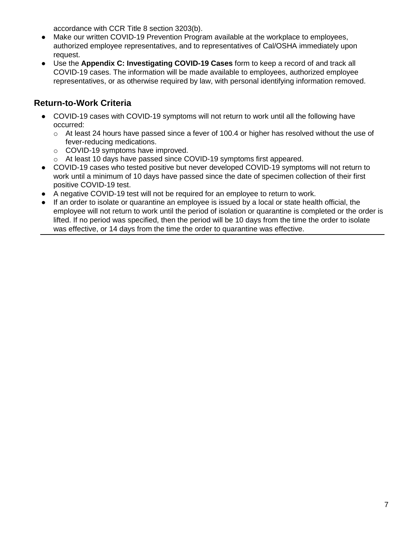accordance with CCR Title 8 section 3203(b).

- Make our written COVID-19 Prevention Program available at the workplace to employees, authorized employee representatives, and to representatives of Cal/OSHA immediately upon request.
- Use the **Appendix C: Investigating COVID-19 Cases** form to keep a record of and track all COVID-19 cases. The information will be made available to employees, authorized employee representatives, or as otherwise required by law, with personal identifying information removed.

### **Return-to-Work Criteria**

- COVID-19 cases with COVID-19 symptoms will not return to work until all the following have occurred:
	- o At least 24 hours have passed since a fever of 100.4 or higher has resolved without the use of fever-reducing medications.
	- o COVID-19 symptoms have improved.
	- o At least 10 days have passed since COVID-19 symptoms first appeared.
- COVID-19 cases who tested positive but never developed COVID-19 symptoms will not return to work until a minimum of 10 days have passed since the date of specimen collection of their first positive COVID-19 test.
- A negative COVID-19 test will not be required for an employee to return to work.
- If an order to isolate or quarantine an employee is issued by a local or state health official, the employee will not return to work until the period of isolation or quarantine is completed or the order is lifted. If no period was specified, then the period will be 10 days from the time the order to isolate was effective, or 14 days from the time the order to quarantine was effective.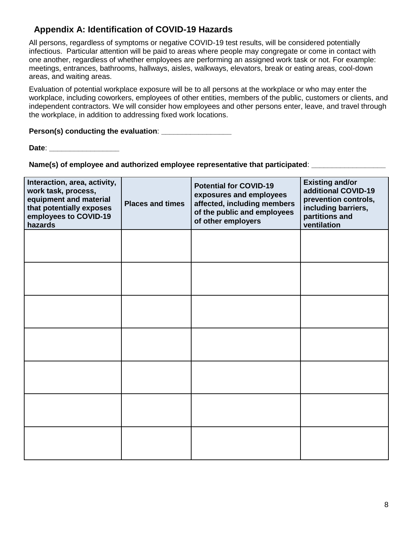### **Appendix A: Identification of COVID-19 Hazards**

All persons, regardless of symptoms or negative COVID-19 test results, will be considered potentially infectious. Particular attention will be paid to areas where people may congregate or come in contact with one another, regardless of whether employees are performing an assigned work task or not. For example: meetings, entrances, bathrooms, hallways, aisles, walkways, elevators, break or eating areas, cool-down areas, and waiting areas.

Evaluation of potential workplace exposure will be to all persons at the workplace or who may enter the workplace, including coworkers, employees of other entities, members of the public, customers or clients, and independent contractors. We will consider how employees and other persons enter, leave, and travel through the workplace, in addition to addressing fixed work locations.

**Person(s) conducting the evaluation**: **\_\_\_\_\_\_\_\_\_\_\_\_\_\_\_\_\_**

**Date**: **\_\_\_\_\_\_\_\_\_\_\_\_\_\_\_\_\_**

**Name(s) of employee and authorized employee representative that participated:** 

| Interaction, area, activity,<br>work task, process,<br>equipment and material<br>that potentially exposes<br>employees to COVID-19<br>hazards | <b>Places and times</b> | <b>Potential for COVID-19</b><br>exposures and employees<br>affected, including members<br>of the public and employees<br>of other employers | <b>Existing and/or</b><br>additional COVID-19<br>prevention controls,<br>including barriers,<br>partitions and<br>ventilation |
|-----------------------------------------------------------------------------------------------------------------------------------------------|-------------------------|----------------------------------------------------------------------------------------------------------------------------------------------|-------------------------------------------------------------------------------------------------------------------------------|
|                                                                                                                                               |                         |                                                                                                                                              |                                                                                                                               |
|                                                                                                                                               |                         |                                                                                                                                              |                                                                                                                               |
|                                                                                                                                               |                         |                                                                                                                                              |                                                                                                                               |
|                                                                                                                                               |                         |                                                                                                                                              |                                                                                                                               |
|                                                                                                                                               |                         |                                                                                                                                              |                                                                                                                               |
|                                                                                                                                               |                         |                                                                                                                                              |                                                                                                                               |
|                                                                                                                                               |                         |                                                                                                                                              |                                                                                                                               |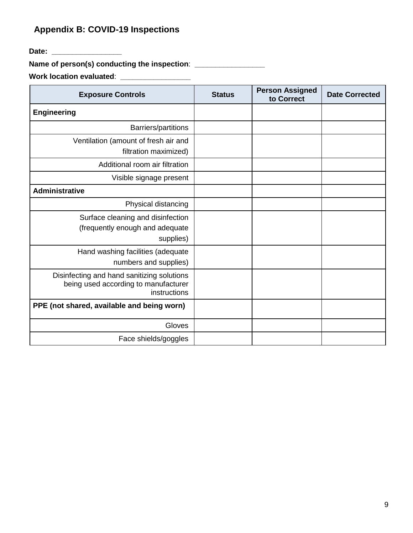# **Appendix B: COVID-19 Inspections**

**Date: \_\_\_\_\_\_\_\_\_\_\_\_\_\_\_\_\_**

**Name of person(s) conducting the inspection**: **\_\_\_\_\_\_\_\_\_\_\_\_\_\_\_\_\_**

**Work location evaluated**: **\_\_\_\_\_\_\_\_\_\_\_\_\_\_\_\_\_**

| <b>Exposure Controls</b>                                                                           | <b>Status</b> | <b>Person Assigned</b><br>to Correct | <b>Date Corrected</b> |
|----------------------------------------------------------------------------------------------------|---------------|--------------------------------------|-----------------------|
| <b>Engineering</b>                                                                                 |               |                                      |                       |
| <b>Barriers/partitions</b>                                                                         |               |                                      |                       |
| Ventilation (amount of fresh air and<br>filtration maximized)                                      |               |                                      |                       |
| Additional room air filtration                                                                     |               |                                      |                       |
| Visible signage present                                                                            |               |                                      |                       |
| <b>Administrative</b>                                                                              |               |                                      |                       |
| Physical distancing                                                                                |               |                                      |                       |
| Surface cleaning and disinfection<br>(frequently enough and adequate<br>supplies)                  |               |                                      |                       |
| Hand washing facilities (adequate<br>numbers and supplies)                                         |               |                                      |                       |
| Disinfecting and hand sanitizing solutions<br>being used according to manufacturer<br>instructions |               |                                      |                       |
| PPE (not shared, available and being worn)                                                         |               |                                      |                       |
| Gloves                                                                                             |               |                                      |                       |
| Face shields/goggles                                                                               |               |                                      |                       |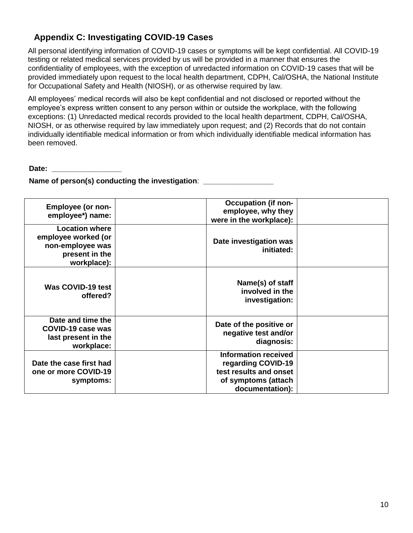### **Appendix C: Investigating COVID-19 Cases**

All personal identifying information of COVID-19 cases or symptoms will be kept confidential. All COVID-19 testing or related medical services provided by us will be provided in a manner that ensures the confidentiality of employees, with the exception of unredacted information on COVID-19 cases that will be provided immediately upon request to the local health department, CDPH, Cal/OSHA, the National Institute for Occupational Safety and Health (NIOSH), or as otherwise required by law.

All employees' medical records will also be kept confidential and not disclosed or reported without the employee's express written consent to any person within or outside the workplace, with the following exceptions: (1) Unredacted medical records provided to the local health department, CDPH, Cal/OSHA, NIOSH, or as otherwise required by law immediately upon request; and (2) Records that do not contain individually identifiable medical information or from which individually identifiable medical information has been removed.

**Date:**  $\blacksquare$ 

**Name of person(s) conducting the investigation**: **\_\_\_\_\_\_\_\_\_\_\_\_\_\_\_\_\_**

| <b>Employee (or non-</b><br>employee*) name:                                                      | <b>Occupation (if non-</b><br>employee, why they<br>were in the workplace):                                           |  |
|---------------------------------------------------------------------------------------------------|-----------------------------------------------------------------------------------------------------------------------|--|
| <b>Location where</b><br>employee worked (or<br>non-employee was<br>present in the<br>workplace): | Date investigation was<br>initiated:                                                                                  |  |
| Was COVID-19 test<br>offered?                                                                     | Name(s) of staff<br>involved in the<br>investigation:                                                                 |  |
| Date and time the<br>COVID-19 case was<br>last present in the<br>workplace:                       | Date of the positive or<br>negative test and/or<br>diagnosis:                                                         |  |
| Date the case first had<br>one or more COVID-19<br>symptoms:                                      | <b>Information received</b><br>regarding COVID-19<br>test results and onset<br>of symptoms (attach<br>documentation): |  |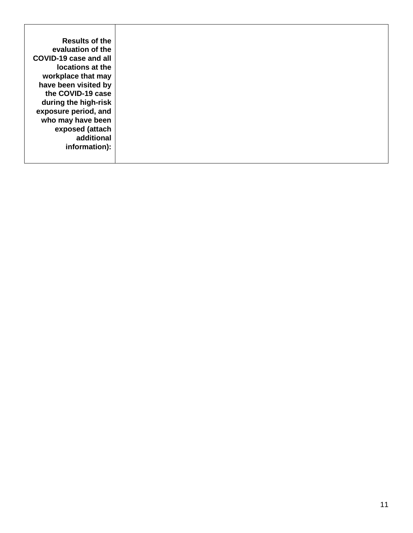| <b>Results of the</b> |
|-----------------------|
| evaluation of the     |
| COVID-19 case and all |
| locations at the      |
| workplace that may    |
| have been visited by  |
| the COVID-19 case     |
| during the high-risk  |
| exposure period, and  |
| who may have been     |
| exposed (attach       |
| additional            |
| information):         |
|                       |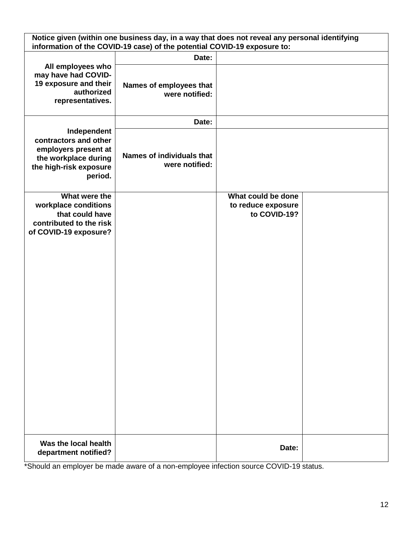| Notice given (within one business day, in a way that does not reveal any personal identifying<br>information of the COVID-19 case) of the potential COVID-19 exposure to: |                                                    |                                                          |  |
|---------------------------------------------------------------------------------------------------------------------------------------------------------------------------|----------------------------------------------------|----------------------------------------------------------|--|
|                                                                                                                                                                           | Date:                                              |                                                          |  |
| All employees who<br>may have had COVID-<br>19 exposure and their<br>authorized<br>representatives.                                                                       | Names of employees that<br>were notified:          |                                                          |  |
|                                                                                                                                                                           | Date:                                              |                                                          |  |
| Independent<br>contractors and other<br>employers present at<br>the workplace during<br>the high-risk exposure<br>period.                                                 | <b>Names of individuals that</b><br>were notified: |                                                          |  |
| What were the<br>workplace conditions<br>that could have<br>contributed to the risk<br>of COVID-19 exposure?                                                              |                                                    | What could be done<br>to reduce exposure<br>to COVID-19? |  |
| Was the local health<br>department notified?                                                                                                                              |                                                    | Date:                                                    |  |

\*Should an employer be made aware of a non-employee infection source COVID-19 status.